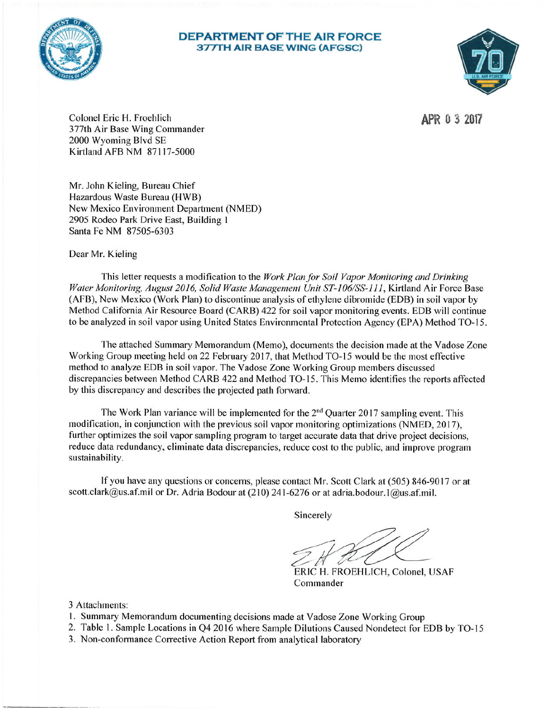

# **DEPARTMENT OF THE AIR FORCE 377TH AIR BASE WING (AFGSC)**



APR 0 3 2017

Colonel Eric H. Froehlich 377th Air Base Wing Commander 2000 Wyoming Blvd SE Kirtland AFB NM 87117-5000

Mr. John Kieling, Bureau Chief Hazardous Waste Bureau (HWB) New Mexico Environment Department (NMED) 2905 Rodeo Park Drive East, Building 1 Santa Fe NM 87505-6303

Dear Mr. Kieling

This letter requests a modification to the Work Plan for Soil Vapor Monitoring and Drinking Water Monitoring, August 2016, Solid Waste Management Unit ST-106/SS-111, Kirtland Air Force Base (AFB), New Mexico (Work Plan) to discontinue analysis of ethylene dibromide (EDB) in soil vapor by Method California Air Resource Board (CARB) 422 for soil vapor monitoring events. EDB will continue to be analyzed in soil vapor using United States Environmental Protection Agency (EPA) Method TO-15.

The attached Summary Memorandum (Memo), documents the decision made at the Vadose Zone Working Group meeting held on 22 February 2017, that Method TO-15 would be the most effective method to analyze EDB in soil vapor. The Vadose Zone Working Group members discussed discrepancies between Method CARB 422 and Method TO-15. This Memo identifies the reports affected by this discrepancy and describes the projected path forward.

The Work Plan variance will be implemented for the 2<sup>nd</sup> Quarter 2017 sampling event. This modification, in conjunction with the previous soil vapor monitoring optimizations (NMED, 2017), further optimizes the soil vapor sampling program to target accurate data that drive project decisions. reduce data redundancy, eliminate data discrepancies, reduce cost to the public, and improve program sustainability.

If you have any questions or concerns, please contact Mr. Scott Clark at (505) 846-9017 or at scott.clark@us.af.mil or Dr. Adria Bodour at (210) 241-6276 or at adria.bodour.1@us.af.mil.

Sincerely

ERIC H. FROEHLICH, Colonel, USAF Commander

3 Attachments:

- 1. Summary Memorandum documenting decisions made at Vadose Zone Working Group
- 2. Table 1. Sample Locations in Q4 2016 where Sample Dilutions Caused Nondetect for EDB by TO-15
- 3. Non-conformance Corrective Action Report from analytical laboratory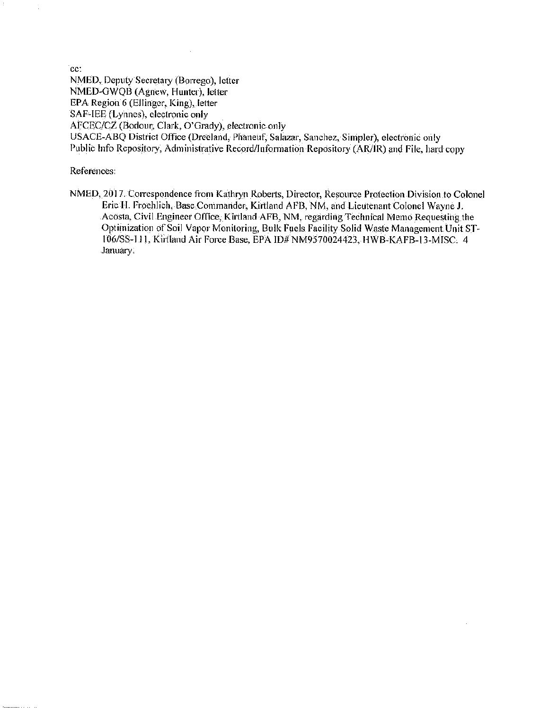cc:

÷,

NMED, Deputy Secretary (Borrego), letter NMED-GWQB (Agnew, Hunter), letter EPA Region 6 (Ellinger, King), letter SAF-IEE (Lynnes), electronic only AFCEC/CZ (Bodour, Clark, O'Grady), electronic only USACE-ABQ District Office (Dreeland, Phaneuf, Salazar, Sanchez, Simpler), electronic only Public Info Repository, Administrative Record/Information Repository (AR/IR) and File, hard copy

References:

NMED, 2017. Correspondence from Kathryn Roberts, Director, Resource Protection Division to Colonel Eric H. Froehlich, Base Commander, Kirtland AFB, NM, and Lieutenant Colonel Wayne J. Acosta, Civil Engineer Office, Kirtland AFB, NM, regarding Technical Memo Requesting the Optimization of Soil Vapor Monitoring, Bulk Fuels Facility Solid Waste Management Unit ST-106/SS-111, Kirtland Air Force Base, EPA ID# NM9570024423, HWB-KAFB-13-MISC. 4 January.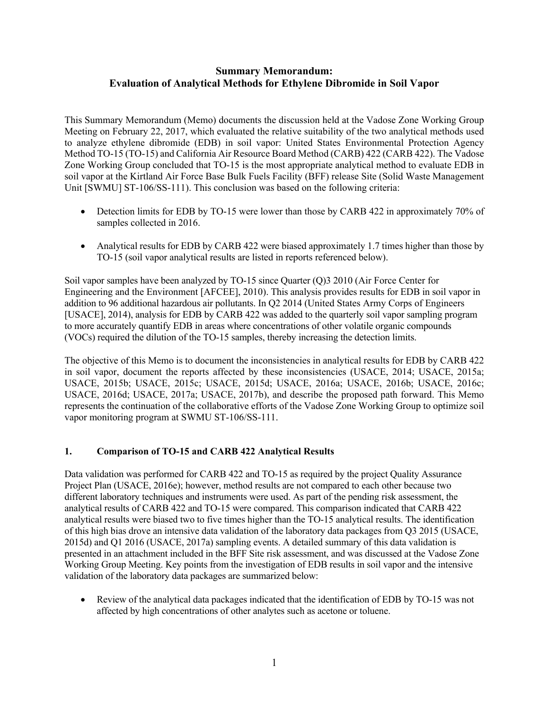# **Summary Memorandum: Evaluation of Analytical Methods for Ethylene Dibromide in Soil Vapor**

This Summary Memorandum (Memo) documents the discussion held at the Vadose Zone Working Group Meeting on February 22, 2017, which evaluated the relative suitability of the two analytical methods used to analyze ethylene dibromide (EDB) in soil vapor: United States Environmental Protection Agency Method TO-15 (TO-15) and California Air Resource Board Method (CARB) 422 (CARB 422). The Vadose Zone Working Group concluded that TO-15 is the most appropriate analytical method to evaluate EDB in soil vapor at the Kirtland Air Force Base Bulk Fuels Facility (BFF) release Site (Solid Waste Management Unit [SWMU] ST-106/SS-111). This conclusion was based on the following criteria:

- Detection limits for EDB by TO-15 were lower than those by CARB 422 in approximately 70% of samples collected in 2016.
- Analytical results for EDB by CARB 422 were biased approximately 1.7 times higher than those by TO-15 (soil vapor analytical results are listed in reports referenced below).

Soil vapor samples have been analyzed by TO-15 since Quarter (Q)3 2010 (Air Force Center for Engineering and the Environment [AFCEE], 2010). This analysis provides results for EDB in soil vapor in addition to 96 additional hazardous air pollutants. In Q2 2014 (United States Army Corps of Engineers [USACE], 2014), analysis for EDB by CARB 422 was added to the quarterly soil vapor sampling program to more accurately quantify EDB in areas where concentrations of other volatile organic compounds (VOCs) required the dilution of the TO-15 samples, thereby increasing the detection limits.

The objective of this Memo is to document the inconsistencies in analytical results for EDB by CARB 422 in soil vapor, document the reports affected by these inconsistencies (USACE, 2014; USACE, 2015a; USACE, 2015b; USACE, 2015c; USACE, 2015d; USACE, 2016a; USACE, 2016b; USACE, 2016c; USACE, 2016d; USACE, 2017a; USACE, 2017b), and describe the proposed path forward. This Memo represents the continuation of the collaborative efforts of the Vadose Zone Working Group to optimize soil vapor monitoring program at SWMU ST-106/SS-111.

# **1. Comparison of TO-15 and CARB 422 Analytical Results**

Data validation was performed for CARB 422 and TO-15 as required by the project Quality Assurance Project Plan (USACE, 2016e); however, method results are not compared to each other because two different laboratory techniques and instruments were used. As part of the pending risk assessment, the analytical results of CARB 422 and TO-15 were compared. This comparison indicated that CARB 422 analytical results were biased two to five times higher than the TO-15 analytical results. The identification of this high bias drove an intensive data validation of the laboratory data packages from Q3 2015 (USACE, 2015d) and Q1 2016 (USACE, 2017a) sampling events. A detailed summary of this data validation is presented in an attachment included in the BFF Site risk assessment, and was discussed at the Vadose Zone Working Group Meeting. Key points from the investigation of EDB results in soil vapor and the intensive validation of the laboratory data packages are summarized below:

 Review of the analytical data packages indicated that the identification of EDB by TO-15 was not affected by high concentrations of other analytes such as acetone or toluene.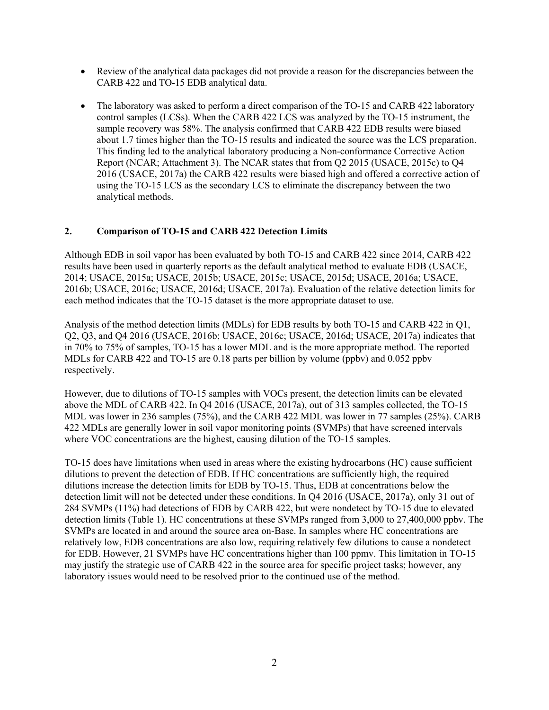- Review of the analytical data packages did not provide a reason for the discrepancies between the CARB 422 and TO-15 EDB analytical data.
- The laboratory was asked to perform a direct comparison of the TO-15 and CARB 422 laboratory control samples (LCSs). When the CARB 422 LCS was analyzed by the TO-15 instrument, the sample recovery was 58%. The analysis confirmed that CARB 422 EDB results were biased about 1.7 times higher than the TO-15 results and indicated the source was the LCS preparation. This finding led to the analytical laboratory producing a Non-conformance Corrective Action Report (NCAR; Attachment 3). The NCAR states that from Q2 2015 (USACE, 2015c) to Q4 2016 (USACE, 2017a) the CARB 422 results were biased high and offered a corrective action of using the TO-15 LCS as the secondary LCS to eliminate the discrepancy between the two analytical methods.

# **2. Comparison of TO-15 and CARB 422 Detection Limits**

Although EDB in soil vapor has been evaluated by both TO-15 and CARB 422 since 2014, CARB 422 results have been used in quarterly reports as the default analytical method to evaluate EDB (USACE, 2014; USACE, 2015a; USACE, 2015b; USACE, 2015c; USACE, 2015d; USACE, 2016a; USACE, 2016b; USACE, 2016c; USACE, 2016d; USACE, 2017a). Evaluation of the relative detection limits for each method indicates that the TO-15 dataset is the more appropriate dataset to use.

Analysis of the method detection limits (MDLs) for EDB results by both TO-15 and CARB 422 in Q1, Q2, Q3, and Q4 2016 (USACE, 2016b; USACE, 2016c; USACE, 2016d; USACE, 2017a) indicates that in 70% to 75% of samples, TO-15 has a lower MDL and is the more appropriate method. The reported MDLs for CARB 422 and TO-15 are 0.18 parts per billion by volume (ppbv) and 0.052 ppbv respectively.

However, due to dilutions of TO-15 samples with VOCs present, the detection limits can be elevated above the MDL of CARB 422. In Q4 2016 (USACE, 2017a), out of 313 samples collected, the TO-15 MDL was lower in 236 samples (75%), and the CARB 422 MDL was lower in 77 samples (25%). CARB 422 MDLs are generally lower in soil vapor monitoring points (SVMPs) that have screened intervals where VOC concentrations are the highest, causing dilution of the TO-15 samples.

TO-15 does have limitations when used in areas where the existing hydrocarbons (HC) cause sufficient dilutions to prevent the detection of EDB. If HC concentrations are sufficiently high, the required dilutions increase the detection limits for EDB by TO-15. Thus, EDB at concentrations below the detection limit will not be detected under these conditions. In Q4 2016 (USACE, 2017a), only 31 out of 284 SVMPs (11%) had detections of EDB by CARB 422, but were nondetect by TO-15 due to elevated detection limits (Table 1). HC concentrations at these SVMPs ranged from 3,000 to 27,400,000 ppbv. The SVMPs are located in and around the source area on-Base. In samples where HC concentrations are relatively low, EDB concentrations are also low, requiring relatively few dilutions to cause a nondetect for EDB. However, 21 SVMPs have HC concentrations higher than 100 ppmv. This limitation in TO-15 may justify the strategic use of CARB 422 in the source area for specific project tasks; however, any laboratory issues would need to be resolved prior to the continued use of the method.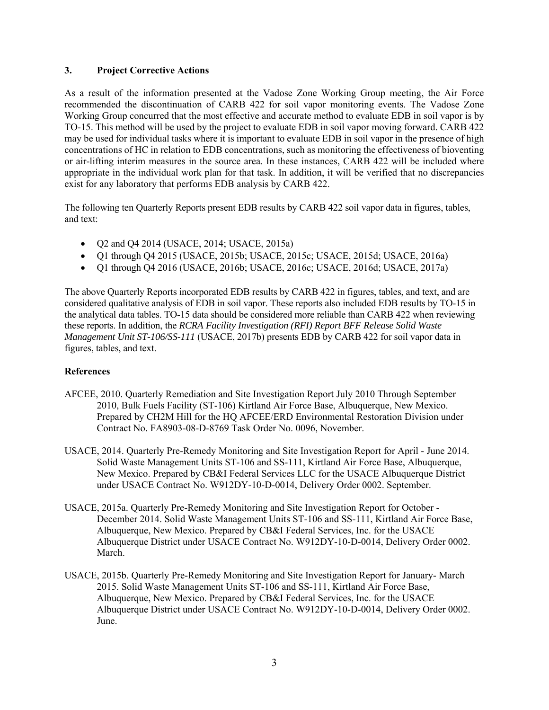### **3. Project Corrective Actions**

As a result of the information presented at the Vadose Zone Working Group meeting, the Air Force recommended the discontinuation of CARB 422 for soil vapor monitoring events. The Vadose Zone Working Group concurred that the most effective and accurate method to evaluate EDB in soil vapor is by TO-15. This method will be used by the project to evaluate EDB in soil vapor moving forward. CARB 422 may be used for individual tasks where it is important to evaluate EDB in soil vapor in the presence of high concentrations of HC in relation to EDB concentrations, such as monitoring the effectiveness of bioventing or air-lifting interim measures in the source area. In these instances, CARB 422 will be included where appropriate in the individual work plan for that task. In addition, it will be verified that no discrepancies exist for any laboratory that performs EDB analysis by CARB 422.

The following ten Quarterly Reports present EDB results by CARB 422 soil vapor data in figures, tables, and text:

- O2 and O4 2014 (USACE, 2014; USACE, 2015a)
- Q1 through Q4 2015 (USACE, 2015b; USACE, 2015c; USACE, 2015d; USACE, 2016a)
- Q1 through Q4 2016 (USACE, 2016b; USACE, 2016c; USACE, 2016d; USACE, 2017a)

The above Quarterly Reports incorporated EDB results by CARB 422 in figures, tables, and text, and are considered qualitative analysis of EDB in soil vapor. These reports also included EDB results by TO-15 in the analytical data tables. TO-15 data should be considered more reliable than CARB 422 when reviewing these reports. In addition, the *RCRA Facility Investigation (RFI) Report BFF Release Solid Waste Management Unit ST-106/SS-111* (USACE, 2017b) presents EDB by CARB 422 for soil vapor data in figures, tables, and text.

# **References**

- AFCEE, 2010. Quarterly Remediation and Site Investigation Report July 2010 Through September 2010, Bulk Fuels Facility (ST-106) Kirtland Air Force Base, Albuquerque, New Mexico. Prepared by CH2M Hill for the HQ AFCEE/ERD Environmental Restoration Division under Contract No. FA8903-08-D-8769 Task Order No. 0096, November.
- USACE, 2014. Quarterly Pre-Remedy Monitoring and Site Investigation Report for April June 2014. Solid Waste Management Units ST-106 and SS-111, Kirtland Air Force Base, Albuquerque, New Mexico. Prepared by CB&I Federal Services LLC for the USACE Albuquerque District under USACE Contract No. W912DY-10-D-0014, Delivery Order 0002. September.
- USACE, 2015a. Quarterly Pre-Remedy Monitoring and Site Investigation Report for October December 2014. Solid Waste Management Units ST-106 and SS-111, Kirtland Air Force Base, Albuquerque, New Mexico. Prepared by CB&I Federal Services, Inc. for the USACE Albuquerque District under USACE Contract No. W912DY-10-D-0014, Delivery Order 0002. March.
- USACE, 2015b. Quarterly Pre-Remedy Monitoring and Site Investigation Report for January- March 2015. Solid Waste Management Units ST-106 and SS-111, Kirtland Air Force Base, Albuquerque, New Mexico. Prepared by CB&I Federal Services, Inc. for the USACE Albuquerque District under USACE Contract No. W912DY-10-D-0014, Delivery Order 0002. June.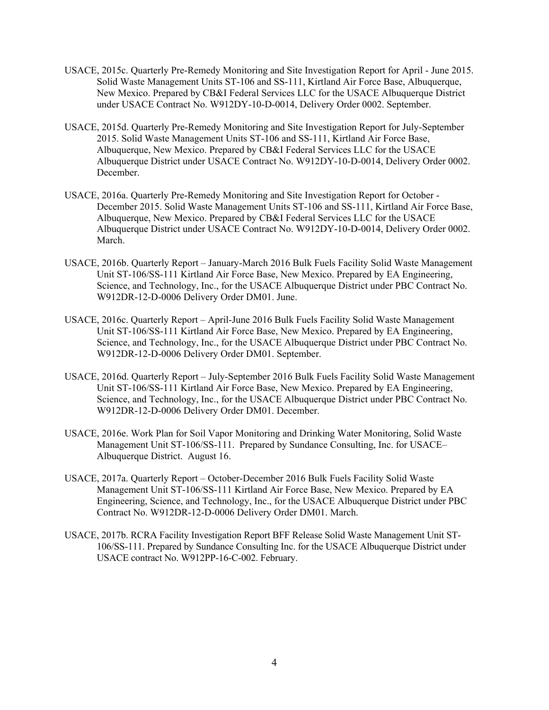- USACE, 2015c. Quarterly Pre-Remedy Monitoring and Site Investigation Report for April June 2015. Solid Waste Management Units ST-106 and SS-111, Kirtland Air Force Base, Albuquerque, New Mexico. Prepared by CB&I Federal Services LLC for the USACE Albuquerque District under USACE Contract No. W912DY-10-D-0014, Delivery Order 0002. September.
- USACE, 2015d. Quarterly Pre-Remedy Monitoring and Site Investigation Report for July-September 2015. Solid Waste Management Units ST-106 and SS-111, Kirtland Air Force Base, Albuquerque, New Mexico. Prepared by CB&I Federal Services LLC for the USACE Albuquerque District under USACE Contract No. W912DY-10-D-0014, Delivery Order 0002. December.
- USACE, 2016a. Quarterly Pre-Remedy Monitoring and Site Investigation Report for October December 2015. Solid Waste Management Units ST-106 and SS-111, Kirtland Air Force Base, Albuquerque, New Mexico. Prepared by CB&I Federal Services LLC for the USACE Albuquerque District under USACE Contract No. W912DY-10-D-0014, Delivery Order 0002. March.
- USACE, 2016b. Quarterly Report January-March 2016 Bulk Fuels Facility Solid Waste Management Unit ST-106/SS-111 Kirtland Air Force Base, New Mexico. Prepared by EA Engineering, Science, and Technology, Inc., for the USACE Albuquerque District under PBC Contract No. W912DR-12-D-0006 Delivery Order DM01. June.
- USACE, 2016c. Quarterly Report April-June 2016 Bulk Fuels Facility Solid Waste Management Unit ST-106/SS-111 Kirtland Air Force Base, New Mexico. Prepared by EA Engineering, Science, and Technology, Inc., for the USACE Albuquerque District under PBC Contract No. W912DR-12-D-0006 Delivery Order DM01. September.
- USACE, 2016d. Quarterly Report July-September 2016 Bulk Fuels Facility Solid Waste Management Unit ST-106/SS-111 Kirtland Air Force Base, New Mexico. Prepared by EA Engineering, Science, and Technology, Inc., for the USACE Albuquerque District under PBC Contract No. W912DR-12-D-0006 Delivery Order DM01. December.
- USACE, 2016e. Work Plan for Soil Vapor Monitoring and Drinking Water Monitoring, Solid Waste Management Unit ST-106/SS-111. Prepared by Sundance Consulting, Inc. for USACE– Albuquerque District. August 16.
- USACE, 2017a. Quarterly Report October-December 2016 Bulk Fuels Facility Solid Waste Management Unit ST-106/SS-111 Kirtland Air Force Base, New Mexico. Prepared by EA Engineering, Science, and Technology, Inc., for the USACE Albuquerque District under PBC Contract No. W912DR-12-D-0006 Delivery Order DM01. March.
- USACE, 2017b. RCRA Facility Investigation Report BFF Release Solid Waste Management Unit ST-106/SS-111. Prepared by Sundance Consulting Inc. for the USACE Albuquerque District under USACE contract No. W912PP-16-C-002. February.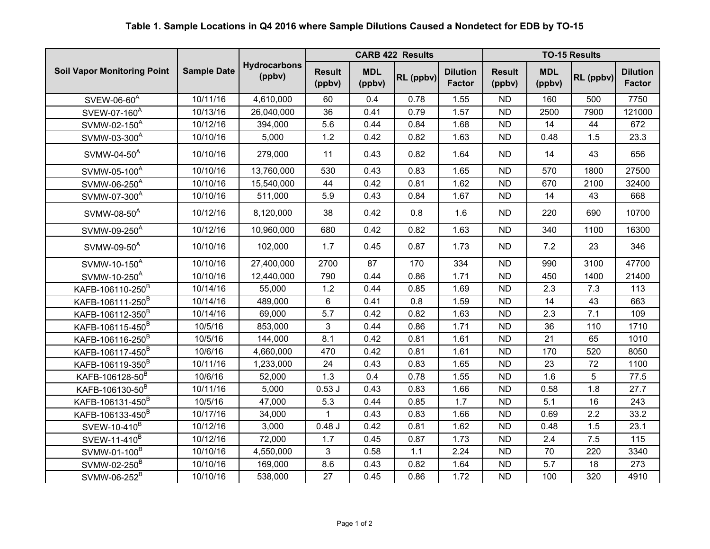# **Table 1. Sample Locations in Q4 2016 where Sample Dilutions Caused a Nondetect for EDB by TO-15**

|                                    |                    | <b>Hydrocarbons</b><br>(ppbv) | <b>CARB 422 Results</b> |                      |           | <b>TO-15 Results</b>             |                         |                      |           |                                  |
|------------------------------------|--------------------|-------------------------------|-------------------------|----------------------|-----------|----------------------------------|-------------------------|----------------------|-----------|----------------------------------|
| <b>Soil Vapor Monitoring Point</b> | <b>Sample Date</b> |                               | <b>Result</b><br>(ppbv) | <b>MDL</b><br>(ppbv) | RL (ppbv) | <b>Dilution</b><br><b>Factor</b> | <b>Result</b><br>(ppbv) | <b>MDL</b><br>(ppbv) | RL (ppbv) | <b>Dilution</b><br><b>Factor</b> |
| SVEW-06-60 <sup>A</sup>            | 10/11/16           | 4,610,000                     | 60                      | 0.4                  | 0.78      | 1.55                             | <b>ND</b>               | 160                  | 500       | 7750                             |
| SVEW-07-160 <sup>A</sup>           | 10/13/16           | 26,040,000                    | 36                      | 0.41                 | 0.79      | 1.57                             | <b>ND</b>               | 2500                 | 7900      | 121000                           |
| SVMW-02-150 <sup>A</sup>           | 10/12/16           | 394,000                       | 5.6                     | 0.44                 | 0.84      | 1.68                             | <b>ND</b>               | 14                   | 44        | 672                              |
| SVMW-03-300 <sup>A</sup>           | 10/10/16           | 5,000                         | 1.2                     | 0.42                 | 0.82      | 1.63                             | <b>ND</b>               | 0.48                 | 1.5       | 23.3                             |
| SVMW-04-50 <sup>A</sup>            | 10/10/16           | 279,000                       | 11                      | 0.43                 | 0.82      | 1.64                             | <b>ND</b>               | 14                   | 43        | 656                              |
| SVMW-05-100 <sup>A</sup>           | 10/10/16           | 13,760,000                    | 530                     | 0.43                 | 0.83      | 1.65                             | <b>ND</b>               | 570                  | 1800      | 27500                            |
| SVMW-06-250 <sup>A</sup>           | 10/10/16           | 15,540,000                    | 44                      | 0.42                 | 0.81      | 1.62                             | <b>ND</b>               | 670                  | 2100      | 32400                            |
| SVMW-07-300 <sup>A</sup>           | 10/10/16           | 511,000                       | 5.9                     | 0.43                 | 0.84      | 1.67                             | <b>ND</b>               | 14                   | 43        | 668                              |
| SVMW-08-50 <sup>A</sup>            | 10/12/16           | 8,120,000                     | 38                      | 0.42                 | 0.8       | 1.6                              | <b>ND</b>               | 220                  | 690       | 10700                            |
| SVMW-09-250 <sup>A</sup>           | 10/12/16           | 10,960,000                    | 680                     | 0.42                 | 0.82      | 1.63                             | <b>ND</b>               | 340                  | 1100      | 16300                            |
| SVMW-09-50 <sup>A</sup>            | 10/10/16           | 102,000                       | 1.7                     | 0.45                 | 0.87      | 1.73                             | <b>ND</b>               | 7.2                  | 23        | 346                              |
| SVMW-10-150 <sup>A</sup>           | 10/10/16           | 27,400,000                    | 2700                    | 87                   | 170       | 334                              | <b>ND</b>               | 990                  | 3100      | 47700                            |
| SVMW-10-250 <sup>A</sup>           | 10/10/16           | 12,440,000                    | 790                     | 0.44                 | 0.86      | 1.71                             | <b>ND</b>               | 450                  | 1400      | 21400                            |
| KAFB-106110-250 <sup>B</sup>       | 10/14/16           | 55,000                        | 1.2                     | 0.44                 | 0.85      | 1.69                             | <b>ND</b>               | 2.3                  | 7.3       | 113                              |
| KAFB-106111-250 <sup>B</sup>       | 10/14/16           | 489,000                       | 6                       | 0.41                 | 0.8       | 1.59                             | <b>ND</b>               | 14                   | 43        | 663                              |
| KAFB-106112-350 <sup>B</sup>       | 10/14/16           | 69,000                        | 5.7                     | 0.42                 | 0.82      | 1.63                             | <b>ND</b>               | 2.3                  | 7.1       | 109                              |
| KAFB-106115-450 <sup>B</sup>       | 10/5/16            | 853,000                       | 3                       | 0.44                 | 0.86      | 1.71                             | <b>ND</b>               | 36                   | 110       | 1710                             |
| KAFB-106116-250 <sup>B</sup>       | 10/5/16            | 144,000                       | 8.1                     | 0.42                 | 0.81      | 1.61                             | <b>ND</b>               | 21                   | 65        | 1010                             |
| KAFB-106117-450 <sup>B</sup>       | 10/6/16            | 4,660,000                     | 470                     | 0.42                 | 0.81      | 1.61                             | <b>ND</b>               | 170                  | 520       | 8050                             |
| KAFB-106119-350 <sup>B</sup>       | 10/11/16           | 1,233,000                     | 24                      | 0.43                 | 0.83      | 1.65                             | <b>ND</b>               | 23                   | 72        | 1100                             |
| KAFB-106128-50 <sup>B</sup>        | 10/6/16            | 52,000                        | 1.3                     | 0.4                  | 0.78      | 1.55                             | <b>ND</b>               | 1.6                  | 5         | 77.5                             |
| KAFB-106130-50 <sup>B</sup>        | 10/11/16           | 5,000                         | 0.53J                   | 0.43                 | 0.83      | 1.66                             | <b>ND</b>               | 0.58                 | 1.8       | 27.7                             |
| KAFB-106131-450 <sup>B</sup>       | 10/5/16            | 47,000                        | 5.3                     | 0.44                 | 0.85      | 1.7                              | <b>ND</b>               | 5.1                  | 16        | 243                              |
| KAFB-106133-450 <sup>B</sup>       | 10/17/16           | 34,000                        | $\mathbf 1$             | 0.43                 | 0.83      | 1.66                             | <b>ND</b>               | 0.69                 | 2.2       | 33.2                             |
| SVEW-10-410 <sup>B</sup>           | 10/12/16           | 3,000                         | 0.48J                   | 0.42                 | 0.81      | 1.62                             | <b>ND</b>               | 0.48                 | 1.5       | 23.1                             |
| SVEW-11-410 <sup>B</sup>           | 10/12/16           | 72,000                        | 1.7                     | 0.45                 | 0.87      | 1.73                             | <b>ND</b>               | 2.4                  | 7.5       | 115                              |
| SVMW-01-100 <sup>B</sup>           | 10/10/16           | 4,550,000                     | 3                       | 0.58                 | 1.1       | 2.24                             | <b>ND</b>               | 70                   | 220       | 3340                             |
| SVMW-02-250 <sup>B</sup>           | 10/10/16           | 169,000                       | 8.6                     | 0.43                 | 0.82      | 1.64                             | <b>ND</b>               | 5.7                  | 18        | 273                              |
| SVMW-06-252 <sup>B</sup>           | 10/10/16           | 538,000                       | 27                      | 0.45                 | 0.86      | 1.72                             | <b>ND</b>               | 100                  | 320       | 4910                             |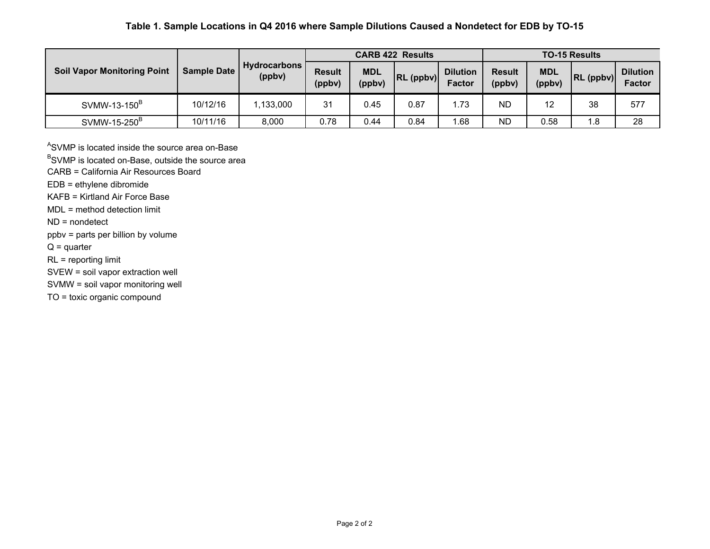# **Table 1. Sample Locations in Q4 2016 where Sample Dilutions Caused a Nondetect for EDB by TO-15**

|                                    |                    | <b>Hydrocarbons</b><br>(ppbv) | <b>CARB 422 Results</b> |                      |           |                                  | <b>TO-15 Results</b>    |                      |           |                                  |
|------------------------------------|--------------------|-------------------------------|-------------------------|----------------------|-----------|----------------------------------|-------------------------|----------------------|-----------|----------------------------------|
| <b>Soil Vapor Monitoring Point</b> | <b>Sample Date</b> |                               | <b>Result</b><br>(ppbv) | <b>MDL</b><br>(ppbv) | RL (ppbv) | <b>Dilution</b><br><b>Factor</b> | <b>Result</b><br>(ppbv) | <b>MDL</b><br>(ppbv) | RL (ppbv) | <b>Dilution</b><br><b>Factor</b> |
| SVMW-13-150 <sup>B</sup>           | 10/12/16           | ,133,000                      | 31                      | 0.45                 | 0.87      | 1.73                             | <b>ND</b>               | 12                   | 38        | 577                              |
| SVMW-15-250 <sup>B</sup>           | 10/11/16           | 8,000                         | 0.78                    | 0.44                 | 0.84      | 1.68                             | <b>ND</b>               | 0.58                 | 8. ا      | 28                               |

ASVMP is located inside the source area on-Base

<sup>B</sup>SVMP is located on-Base, outside the source area

CARB = California Air Resources Board

EDB = ethylene dibromide

KAFB = Kirtland Air Force Base

MDL = method detection limit

ND = nondetect

ppbv = parts per billion by volume

 $Q =$  quarter

RL = reporting limit

SVEW = soil vapor extraction well

SVMW = soil vapor monitoring well

TO = toxic organic compound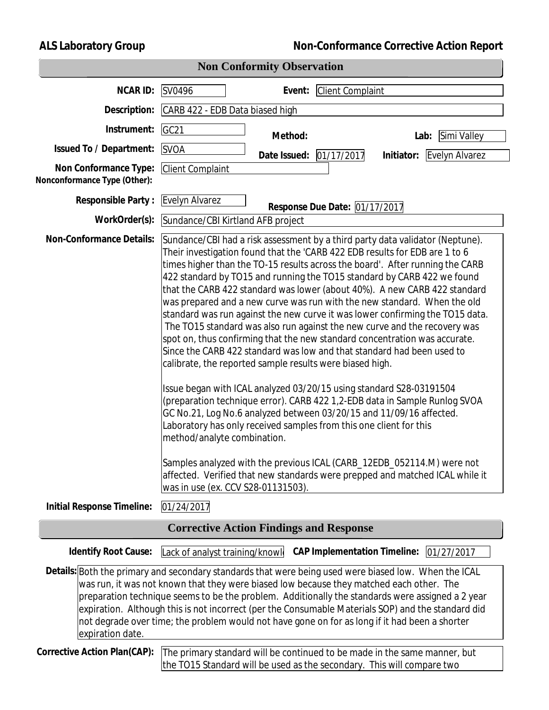**ALS Laboratory Group Non-Conformance Corrective Action Report**

| <b>Non Conformity Observation</b>                     |                                                                                                                                                                                                                                                                                                                                                                                                                                                                                                                                                                                                                                                                                                                                                                                                                                                                                                                                                                                                                                                                                                                                                                                                                                                                                                                                                                                                     |  |  |  |  |  |
|-------------------------------------------------------|-----------------------------------------------------------------------------------------------------------------------------------------------------------------------------------------------------------------------------------------------------------------------------------------------------------------------------------------------------------------------------------------------------------------------------------------------------------------------------------------------------------------------------------------------------------------------------------------------------------------------------------------------------------------------------------------------------------------------------------------------------------------------------------------------------------------------------------------------------------------------------------------------------------------------------------------------------------------------------------------------------------------------------------------------------------------------------------------------------------------------------------------------------------------------------------------------------------------------------------------------------------------------------------------------------------------------------------------------------------------------------------------------------|--|--|--|--|--|
| <b>NCARID:</b>                                        | <b>Client Complaint</b><br>SV0496<br>Event:                                                                                                                                                                                                                                                                                                                                                                                                                                                                                                                                                                                                                                                                                                                                                                                                                                                                                                                                                                                                                                                                                                                                                                                                                                                                                                                                                         |  |  |  |  |  |
| Description:                                          | CARB 422 - EDB Data biased high                                                                                                                                                                                                                                                                                                                                                                                                                                                                                                                                                                                                                                                                                                                                                                                                                                                                                                                                                                                                                                                                                                                                                                                                                                                                                                                                                                     |  |  |  |  |  |
| Instrument:                                           | GC <sub>21</sub><br>Method:<br>Simi Valley<br>Lab:                                                                                                                                                                                                                                                                                                                                                                                                                                                                                                                                                                                                                                                                                                                                                                                                                                                                                                                                                                                                                                                                                                                                                                                                                                                                                                                                                  |  |  |  |  |  |
| Issued To / Department:                               | <b>SVOA</b><br>Date Issued: 01/17/2017<br>Initiator: Evelyn Alvarez                                                                                                                                                                                                                                                                                                                                                                                                                                                                                                                                                                                                                                                                                                                                                                                                                                                                                                                                                                                                                                                                                                                                                                                                                                                                                                                                 |  |  |  |  |  |
| Non Conformance Type:<br>Nonconformance Type (Other): | <b>Client Complaint</b>                                                                                                                                                                                                                                                                                                                                                                                                                                                                                                                                                                                                                                                                                                                                                                                                                                                                                                                                                                                                                                                                                                                                                                                                                                                                                                                                                                             |  |  |  |  |  |
| <b>Responsible Party:</b>                             | Evelyn Alvarez<br>Response Due Date: 01/17/2017                                                                                                                                                                                                                                                                                                                                                                                                                                                                                                                                                                                                                                                                                                                                                                                                                                                                                                                                                                                                                                                                                                                                                                                                                                                                                                                                                     |  |  |  |  |  |
| WorkOrder(s):                                         | Sundance/CBI Kirtland AFB project                                                                                                                                                                                                                                                                                                                                                                                                                                                                                                                                                                                                                                                                                                                                                                                                                                                                                                                                                                                                                                                                                                                                                                                                                                                                                                                                                                   |  |  |  |  |  |
| <b>Non-Conformance Details:</b>                       | Sundance/CBI had a risk assessment by a third party data validator (Neptune).<br>Their investigation found that the 'CARB 422 EDB results for EDB are 1 to 6<br>times higher than the TO-15 results across the board'. After running the CARB<br>422 standard by TO15 and running the TO15 standard by CARB 422 we found<br>that the CARB 422 standard was lower (about 40%). A new CARB 422 standard<br>was prepared and a new curve was run with the new standard. When the old<br>standard was run against the new curve it was lower confirming the TO15 data.<br>The TO15 standard was also run against the new curve and the recovery was<br>spot on, thus confirming that the new standard concentration was accurate.<br>Since the CARB 422 standard was low and that standard had been used to<br>calibrate, the reported sample results were biased high.<br>Issue began with ICAL analyzed 03/20/15 using standard S28-03191504<br>(preparation technique error). CARB 422 1,2-EDB data in Sample Runlog SVOA<br>GC No.21, Log No.6 analyzed between 03/20/15 and 11/09/16 affected.<br>Laboratory has only received samples from this one client for this<br>method/analyte combination.<br>Samples analyzed with the previous ICAL (CARB_12EDB_052114.M) were not<br>affected. Verified that new standards were prepped and matched ICAL while it<br>was in use (ex. CCV S28-01131503) |  |  |  |  |  |
| Initial Response Timeline:                            | 01/24/2017                                                                                                                                                                                                                                                                                                                                                                                                                                                                                                                                                                                                                                                                                                                                                                                                                                                                                                                                                                                                                                                                                                                                                                                                                                                                                                                                                                                          |  |  |  |  |  |
|                                                       | <b>Corrective Action Findings and Response</b>                                                                                                                                                                                                                                                                                                                                                                                                                                                                                                                                                                                                                                                                                                                                                                                                                                                                                                                                                                                                                                                                                                                                                                                                                                                                                                                                                      |  |  |  |  |  |
| <b>Identify Root Cause:</b>                           | <b>CAP Implementation Timeline:</b><br>01/27/2017<br>Lack of analyst training/knowle                                                                                                                                                                                                                                                                                                                                                                                                                                                                                                                                                                                                                                                                                                                                                                                                                                                                                                                                                                                                                                                                                                                                                                                                                                                                                                                |  |  |  |  |  |
| expiration date.                                      | Details: Both the primary and secondary standards that were being used were biased low. When the ICAL<br>was run, it was not known that they were biased low because they matched each other. The<br>preparation technique seems to be the problem. Additionally the standards were assigned a 2 year<br>expiration. Although this is not incorrect (per the Consumable Materials SOP) and the standard did<br>not degrade over time; the problem would not have gone on for as long if it had been a shorter                                                                                                                                                                                                                                                                                                                                                                                                                                                                                                                                                                                                                                                                                                                                                                                                                                                                                       |  |  |  |  |  |
| Corrective Action Plan(CAP):                          | The primary standard will be continued to be made in the same manner, but<br>the TO15 Standard will be used as the secondary. This will compare two                                                                                                                                                                                                                                                                                                                                                                                                                                                                                                                                                                                                                                                                                                                                                                                                                                                                                                                                                                                                                                                                                                                                                                                                                                                 |  |  |  |  |  |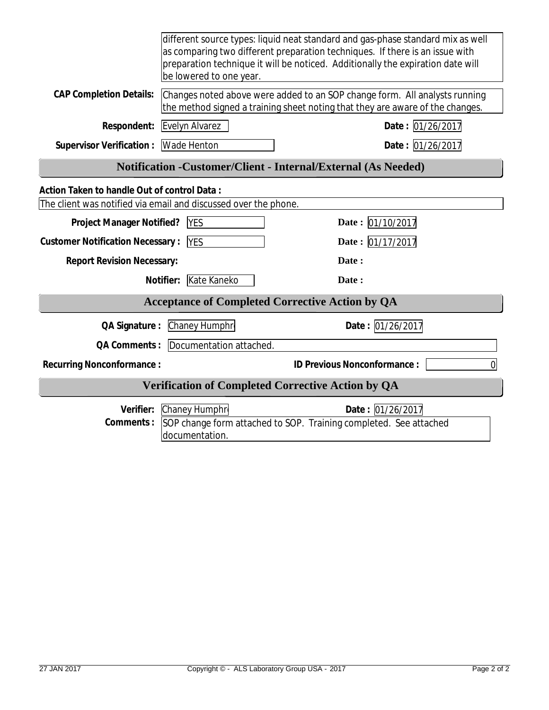|                                                                    | different source types: liquid neat standard and gas-phase standard mix as well<br>as comparing two different preparation techniques. If there is an issue with<br>preparation technique it will be noticed. Additionally the expiration date will<br>be lowered to one year. |                                                                                       |  |  |  |
|--------------------------------------------------------------------|-------------------------------------------------------------------------------------------------------------------------------------------------------------------------------------------------------------------------------------------------------------------------------|---------------------------------------------------------------------------------------|--|--|--|
| <b>CAP Completion Details:</b>                                     | Changes noted above were added to an SOP change form. All analysts running<br>the method signed a training sheet noting that they are aware of the changes.                                                                                                                   |                                                                                       |  |  |  |
| Respondent:                                                        | Evelyn Alvarez                                                                                                                                                                                                                                                                | Date: 01/26/2017                                                                      |  |  |  |
| <b>Supervisor Verification:</b>                                    | Wade Henton                                                                                                                                                                                                                                                                   | Date: 01/26/2017                                                                      |  |  |  |
| Notification - Customer/Client - Internal/External (As Needed)     |                                                                                                                                                                                                                                                                               |                                                                                       |  |  |  |
| Action Taken to handle Out of control Data:                        |                                                                                                                                                                                                                                                                               |                                                                                       |  |  |  |
| The client was notified via email and discussed over the phone.    |                                                                                                                                                                                                                                                                               |                                                                                       |  |  |  |
| Date: 01/10/2017<br><b>Project Manager Notified?</b><br><b>YES</b> |                                                                                                                                                                                                                                                                               |                                                                                       |  |  |  |
| <b>Customer Notification Necessary:</b>                            | Date: 01/17/2017                                                                                                                                                                                                                                                              |                                                                                       |  |  |  |
| <b>Report Revision Necessary:</b>                                  |                                                                                                                                                                                                                                                                               | Date:                                                                                 |  |  |  |
|                                                                    | Kate Kaneko<br>Notifier:                                                                                                                                                                                                                                                      | Date:                                                                                 |  |  |  |
|                                                                    |                                                                                                                                                                                                                                                                               | <b>Acceptance of Completed Corrective Action by QA</b>                                |  |  |  |
| QA Signature :                                                     | Chaney Humphr                                                                                                                                                                                                                                                                 | Date: 01/26/2017                                                                      |  |  |  |
| QA Comments :                                                      | Documentation attached.                                                                                                                                                                                                                                                       |                                                                                       |  |  |  |
| <b>Recurring Nonconformance:</b>                                   |                                                                                                                                                                                                                                                                               | ID Previous Nonconformance:<br>0                                                      |  |  |  |
| <b>Verification of Completed Corrective Action by QA</b>           |                                                                                                                                                                                                                                                                               |                                                                                       |  |  |  |
| Verifier:<br>Comments:                                             | Chaney Humphr<br>documentation.                                                                                                                                                                                                                                               | Date: 01/26/2017<br>SOP change form attached to SOP. Training completed. See attached |  |  |  |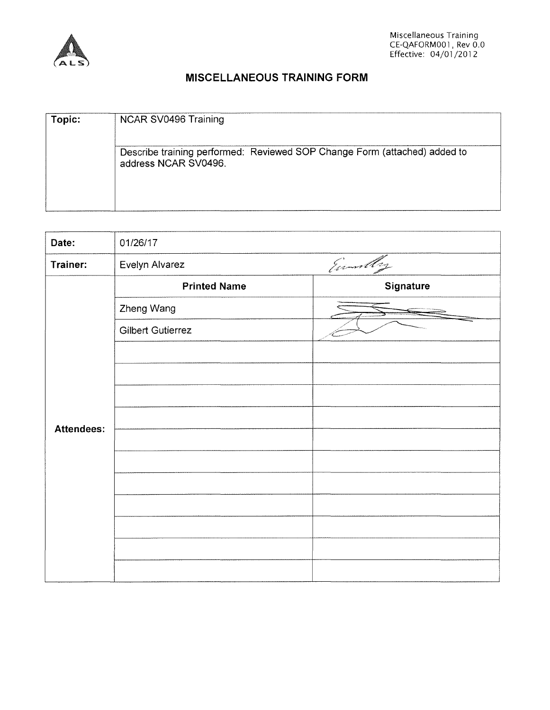

# **MISCELLANEOUS TRAINING FORM**

| Topic: | NCAR SV0496 Training                                                                              |
|--------|---------------------------------------------------------------------------------------------------|
|        | Describe training performed: Reviewed SOP Change Form (attached) added to<br>address NCAR SV0496. |

| Date:             | 01/26/17                 |           |
|-------------------|--------------------------|-----------|
| Trainer:          | Evelyn Alvarez           | Emmilly   |
|                   | <b>Printed Name</b>      | Signature |
|                   | Zheng Wang               |           |
|                   | <b>Gilbert Gutierrez</b> |           |
|                   |                          |           |
|                   |                          |           |
| <b>Attendees:</b> |                          |           |
|                   |                          |           |
|                   |                          |           |
|                   |                          |           |
|                   |                          |           |
|                   |                          |           |
|                   |                          |           |
|                   |                          |           |
|                   |                          |           |